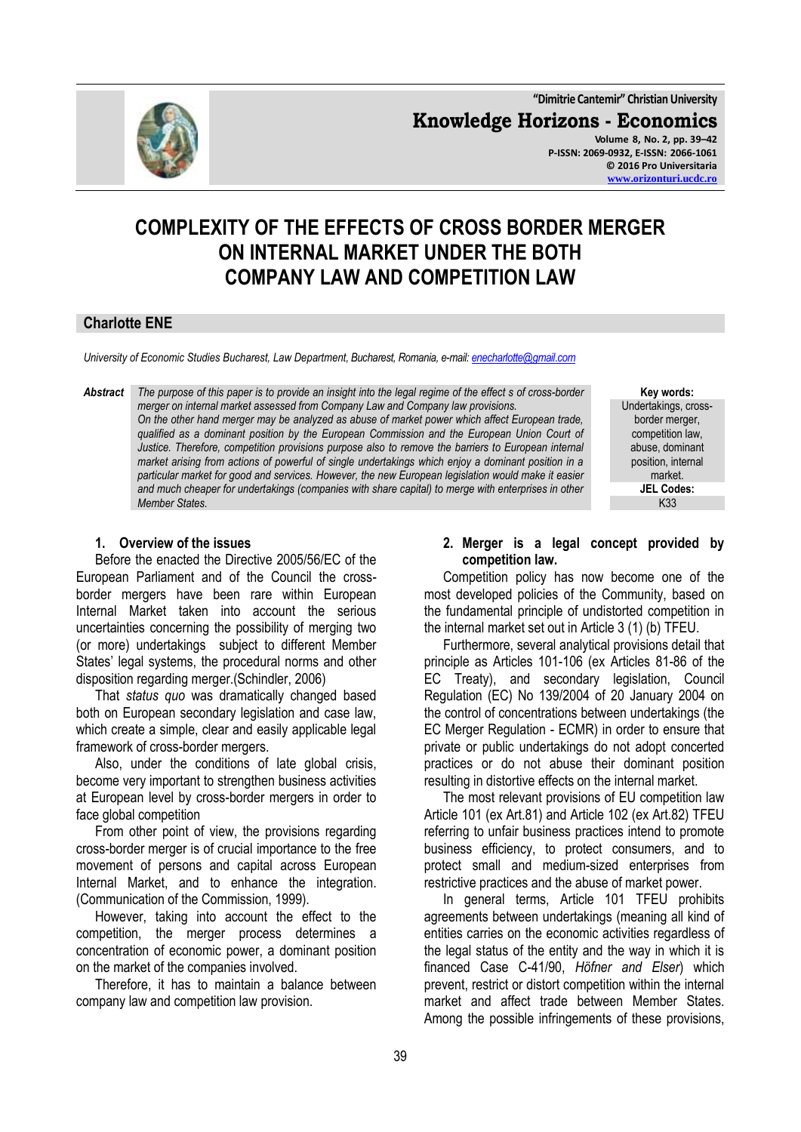

**"Dimitrie Cantemir" Christian University Knowledge Horizons - Economics Volume 8, No. 2, pp. 39–42 P-ISSN: 2069-0932, E-ISSN: 2066-1061 © 2016 Pro Universitaria [www.orizonturi.ucdc.ro](http://www.orizonturi.ucdc.ro/)**

# **COMPLEXITY OF THE EFFECTS OF CROSS BORDER MERGER ON INTERNAL MARKET UNDER THE BOTH COMPANY LAW AND COMPETITION LAW**

# **Charlotte ENE**

*University of Economic Studies Bucharest, Law Department, Bucharest, Romania, e-mail[: enecharlotte@gmail.com](mailto:enecharlotte@gmail.com)*

*Abstract The purpose of this paper is to provide an insight into the legal regime of the effect s of cross-border merger on internal market assessed from Company Law and Company law provisions. On the other hand merger may be analyzed as abuse of market power which affect European trade, qualified as a dominant position by the European Commission and the European Union Court of Justice. Therefore, competition provisions purpose also to remove the barriers to European internal market arising from actions of powerful of single undertakings which enjoy a dominant position in a particular market for good and services. However, the new European legislation would make it easier and much cheaper for undertakings (companies with share capital) to merge with enterprises in other Member States.*

**Key words:** Undertakings, crossborder merger, competition law, abuse, dominant position, internal market. **JEL Codes:** K33

#### **1. Overview of the issues**

Before the enacted the Directive 2005/56/EC of the European Parliament and of the Council the crossborder mergers have been rare within European Internal Market taken into account the serious uncertainties concerning the possibility of merging two (or more) undertakings subject to different Member States' legal systems, the procedural norms and other disposition regarding merger.(Schindler, 2006)

That *status quo* was dramatically changed based both on European secondary legislation and case law, which create a simple, clear and easily applicable legal framework of cross-border mergers.

Also, under the conditions of late global crisis, become very important to strengthen business activities at European level by cross-border mergers in order to face global competition

From other point of view, the provisions regarding cross-border merger is of crucial importance to the free movement of persons and capital across European Internal Market, and to enhance the integration. (Communication of the Commission, 1999).

However, taking into account the effect to the competition, the merger process determines a concentration of economic power, a dominant position on the market of the companies involved.

Therefore, it has to maintain a balance between company law and competition law provision.

#### **2. Merger is a legal concept provided by competition law.**

Competition policy has now become one of the most developed policies of the Community, based on the fundamental principle of undistorted competition in the internal market set out in Article 3 (1) (b) TFEU.

Furthermore, several analytical provisions detail that principle as Articles 101-106 (ex Articles 81-86 of the EC Treaty), and secondary legislation, Council Regulation (EC) No 139/2004 of 20 January 2004 on the [control of concentrations between undertakings \(the](http://eur-lex.europa.eu/LexUriServ/LexUriServ.do?uri=CELEX:32004R0139:EN:NOT)  [EC Merger Regulation](http://eur-lex.europa.eu/LexUriServ/LexUriServ.do?uri=CELEX:32004R0139:EN:NOT) - ECMR) in order to ensure that private or public undertakings do not adopt concerted practices or do not abuse their dominant position resulting in distortive effects on the internal market.

The most relevant provisions of EU competition law Article 101 (ex Art.81) and Article 102 (ex Art.82) TFEU referring to unfair business practices intend to promote business efficiency, to protect consumers, and to protect small and medium-sized enterprises from restrictive practices and the abuse of market power.

In general terms, Article 101 TFEU prohibits agreements between undertakings (meaning all kind of entities carries on the economic activities regardless of the legal status of the entity and the way in which it is financed Case C-41/90, *Höfner and Elser*) which prevent, restrict or distort competition within the internal market and affect trade between Member States. Among the possible infringements of these provisions,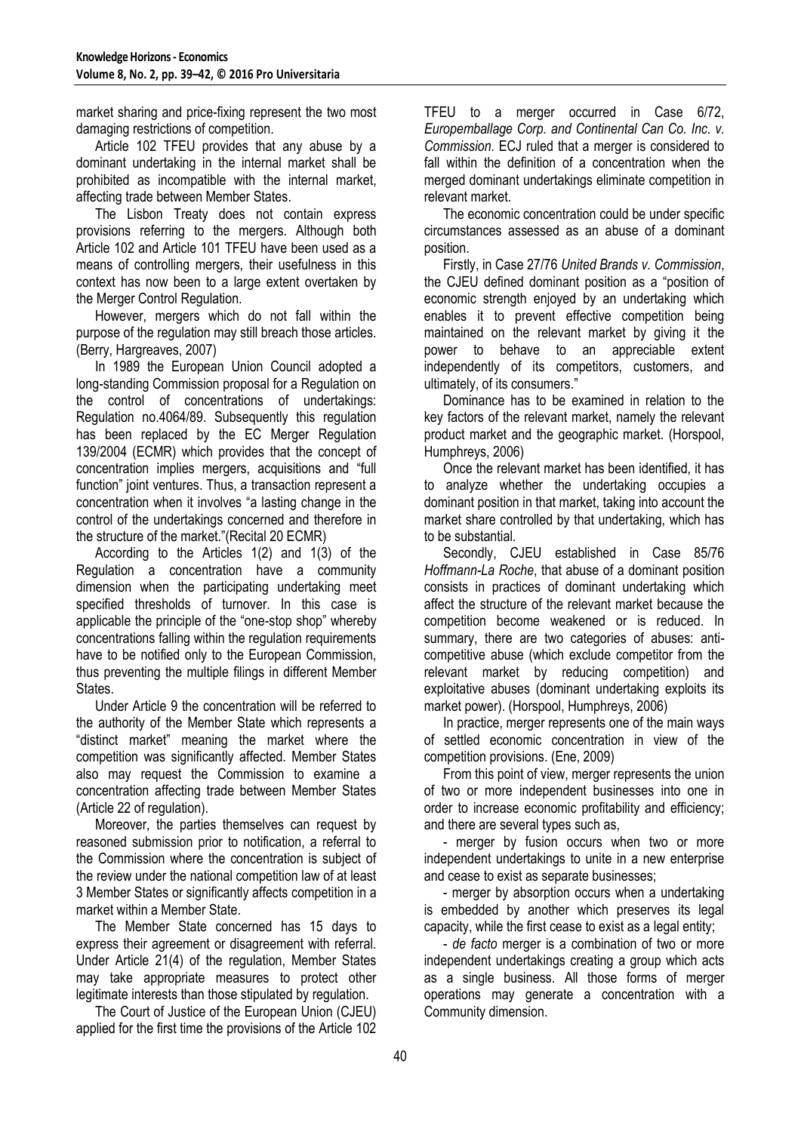market sharing and price-fixing represent the two most damaging restrictions of competition.

Article 102 TFEU provides that any abuse by a dominant undertaking in the internal market shall be prohibited as incompatible with the internal market, affecting trade between Member States.

The Lisbon Treaty does not contain express provisions referring to the mergers. Although both Article 102 and Article 101 TFEU have been used as a means of controlling mergers, their usefulness in this context has now been to a large extent overtaken by the Merger Control Regulation.

However, mergers which do not fall within the purpose of the regulation may still breach those articles. (Berry, Hargreaves, 2007)

In 1989 the European Union Council adopted a long-standing Commission proposal for a Regulation on the control of concentrations of undertakings: Regulation no.4064/89. Subsequently this regulation has been replaced by the EC Merger Regulation 139/2004 (ECMR) which provides that the concept of concentration implies mergers, acquisitions and "full function" joint ventures. Thus, a transaction represent a concentration when it involves "a lasting change in the control of the undertakings concerned and therefore in the structure of the market."(Recital 20 ECMR)

According to the Articles 1(2) and 1(3) of the Regulation a concentration have a community dimension when the participating undertaking meet specified thresholds of turnover. In this case is applicable the principle of the "one-stop shop" whereby concentrations falling within the regulation requirements have to be notified only to the European Commission, thus preventing the multiple filings in different Member States.

Under Article 9 the concentration will be referred to the authority of the Member State which represents a "distinct market" meaning the market where the competition was significantly affected. Member States also may request the Commission to examine a concentration affecting trade between Member States (Article 22 of regulation).

Moreover, the parties themselves can request by reasoned submission prior to notification, a referral to the Commission where the concentration is subject of the review under the national competition law of at least 3 Member States or significantly affects competition in a market within a Member State.

The Member State concerned has 15 days to express their agreement or disagreement with referral. Under Article 21(4) of the regulation, Member States may take appropriate measures to protect other legitimate interests than those stipulated by regulation.

The Court of Justice of the European Union (CJEU) applied for the first time the provisions of the Article 102 TFEU to a merger occurred in Case 6/72, *Europemballage Corp. and Continental Can Co. Inc. v. Commission*. ECJ ruled that a merger is considered to fall within the definition of a concentration when the merged dominant undertakings eliminate competition in relevant market.

The economic concentration could be under specific circumstances assessed as an abuse of a dominant position.

Firstly, in Case 27/76 *United Brands v. Commission*, the CJEU defined dominant position as a "position of economic strength enjoyed by an undertaking which enables it to prevent effective competition being maintained on the relevant market by giving it the power to behave to an appreciable extent independently of its competitors, customers, and ultimately, of its consumers."

Dominance has to be examined in relation to the key factors of the relevant market, namely the relevant product market and the geographic market. (Horspool, Humphreys, 2006)

Once the relevant market has been identified, it has to analyze whether the undertaking occupies a dominant position in that market, taking into account the market share controlled by that undertaking, which has to be substantial.

Secondly, CJEU established in Case 85/76 *Hoffmann-La Roche*, that abuse of a dominant position consists in practices of dominant undertaking which affect the structure of the relevant market because the competition become weakened or is reduced. In summary, there are two categories of abuses: anticompetitive abuse (which exclude competitor from the relevant market by reducing competition) and exploitative abuses (dominant undertaking exploits its market power). (Horspool, Humphreys, 2006)

In practice, merger represents one of the main ways of settled economic concentration in view of the competition provisions. (Ene, 2009)

From this point of view, merger represents the union of two or more independent businesses into one in order to increase economic profitability and efficiency; and there are several types such as,

- merger by fusion occurs when two or more independent undertakings to unite in a new enterprise and cease to exist as separate businesses;

- merger by absorption occurs when a undertaking is embedded by another which preserves its legal capacity, while the first cease to exist as a legal entity;

- *de facto* merger is a combination of two or more independent undertakings creating a group which acts as a single business. All those forms of merger operations may generate a concentration with a Community dimension.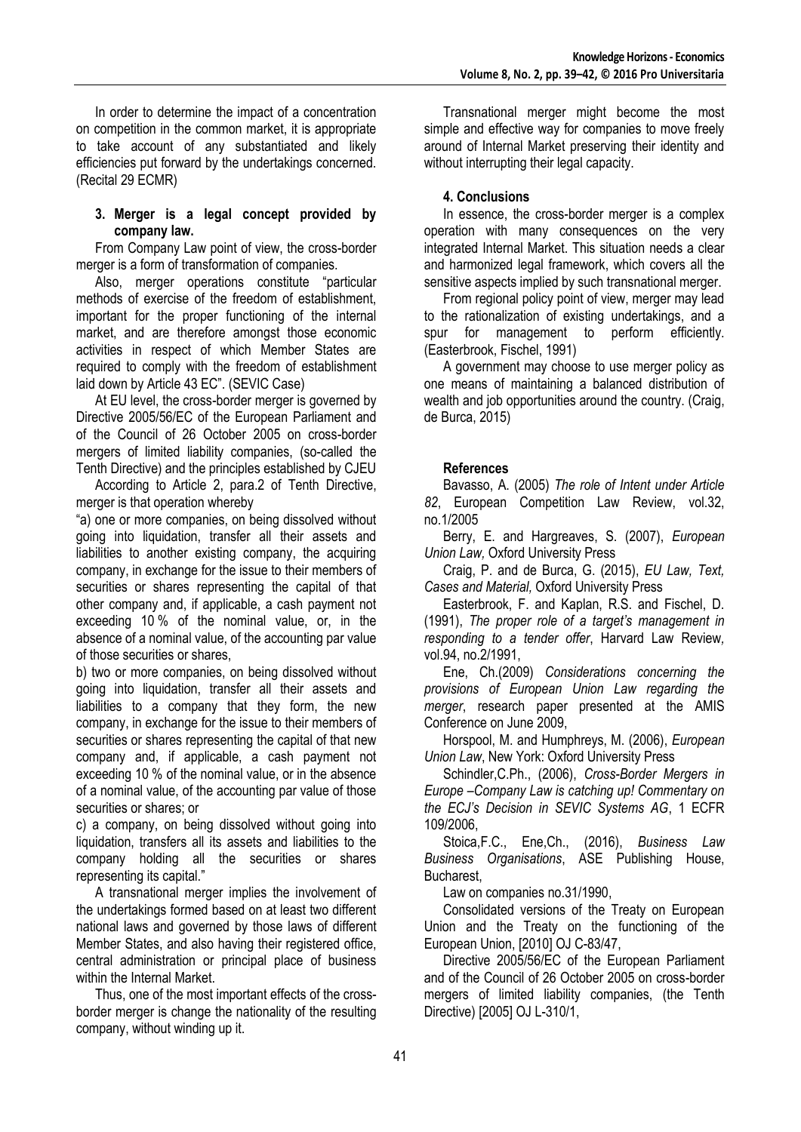In order to determine the impact of a concentration on competition in the common market, it is appropriate to take account of any substantiated and likely efficiencies put forward by the undertakings concerned. (Recital 29 ECMR)

### **3. Merger is a legal concept provided by company law.**

From Company Law point of view, the cross-border merger is a form of transformation of companies.

Also, merger operations constitute "particular methods of exercise of the freedom of establishment, important for the proper functioning of the internal market, and are therefore amongst those economic activities in respect of which Member States are required to comply with the freedom of establishment laid down by Article 43 EC". (SEVIC Case)

At EU level, the cross-border merger is governed by Directive 2005/56/EC of the European Parliament and of the Council of 26 October 2005 on cross-border mergers of limited liability companies, (so-called the Tenth Directive) and the principles established by CJEU

According to Article 2, para.2 of Tenth Directive, merger is that operation whereby

"a) one or more companies, on being dissolved without going into liquidation, transfer all their assets and liabilities to another existing company, the acquiring company, in exchange for the issue to their members of securities or shares representing the capital of that other company and, if applicable, a cash payment not exceeding 10 % of the nominal value, or, in the absence of a nominal value, of the accounting par value of those securities or shares,

b) two or more companies, on being dissolved without going into liquidation, transfer all their assets and liabilities to a company that they form, the new company, in exchange for the issue to their members of securities or shares representing the capital of that new company and, if applicable, a cash payment not exceeding 10 % of the nominal value, or in the absence of a nominal value, of the accounting par value of those securities or shares; or

c) a company, on being dissolved without going into liquidation, transfers all its assets and liabilities to the company holding all the securities or shares representing its capital."

A transnational merger implies the involvement of the undertakings formed based on at least two different national laws and governed by those laws of different Member States, and also having their registered office, central administration or principal place of business within the Internal Market.

Thus, one of the most important effects of the crossborder merger is change the nationality of the resulting company, without winding up it.

Transnational merger might become the most simple and effective way for companies to move freely around of Internal Market preserving their identity and without interrupting their legal capacity.

# **4. Conclusions**

In essence, the cross-border merger is a complex operation with many consequences on the very integrated Internal Market. This situation needs a clear and harmonized legal framework, which covers all the sensitive aspects implied by such transnational merger.

From regional policy point of view, merger may lead to the rationalization of existing undertakings, and a spur for management to perform efficiently. (Easterbrook, Fischel, 1991)

A government may choose to use merger policy as one means of maintaining a balanced distribution of wealth and job opportunities around the country. (Craig, de Burca, 2015)

# **References**

Bavasso, A. (2005) *The role of Intent under Article 82*, European Competition Law Review, vol.32, no.1/2005

Berry, E. and Hargreaves, S. (2007), *European Union Law,* Oxford University Press

Craig, P. and de Burca, G. (2015), *EU Law, Text, Cases and Material,* Oxford University Press

Easterbrook, F. and Kaplan, R.S. and Fischel, D. (1991), *The proper role of a target's management in responding to a tender offer*, Harvard Law Review*,* vol.94, no.2/1991,

Ene, Ch.(2009) *Considerations concerning the provisions of European Union Law regarding the merger*, research paper presented at the AMIS Conference on June 2009,

Horspool, M. and Humphreys, M. (2006), *European Union Law*, New York: Oxford University Press

Schindler,C.Ph., (2006), *Cross-Border Mergers in Europe –Company Law is catching up! Commentary on the ECJ's Decision in SEVIC Systems AG*, 1 ECFR 109/2006,

Stoica,F.C., Ene,Ch., (2016), *Business Law Business Organisations*, ASE Publishing House, Bucharest,

Law on companies no.31/1990,

Consolidated versions of the Treaty on European Union and the Treaty on the functioning of the European Union, [2010] OJ C-83/47,

Directive 2005/56/EC of the European Parliament and of the Council of 26 October 2005 on cross-border mergers of limited liability companies, (the Tenth Directive) [2005] OJ L-310/1,